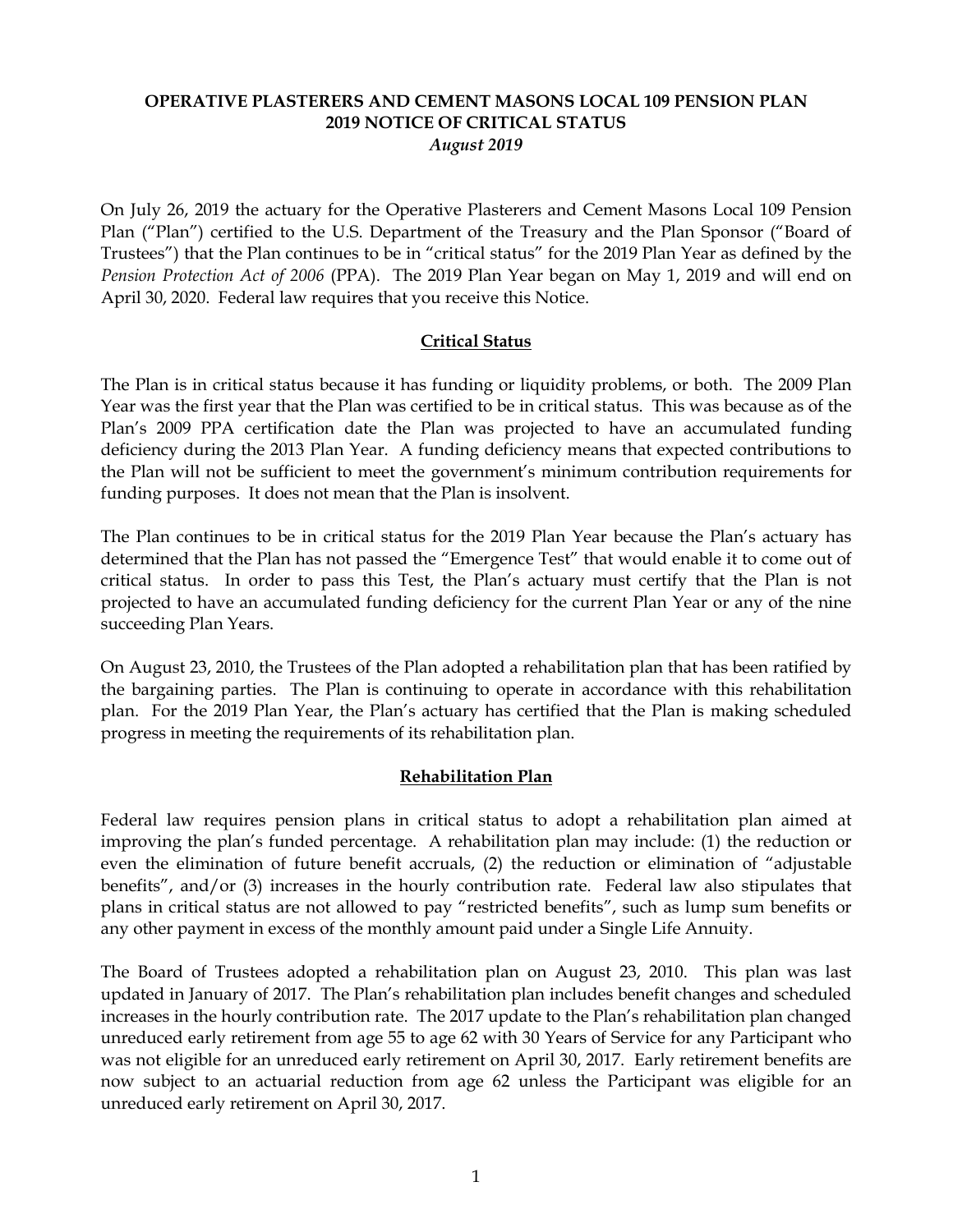## **OPERATIVE PLASTERERS AND CEMENT MASONS LOCAL 109 PENSION PLAN 2019 NOTICE OF CRITICAL STATUS** *August 2019*

On July 26, 2019 the actuary for the Operative Plasterers and Cement Masons Local 109 Pension Plan ("Plan") certified to the U.S. Department of the Treasury and the Plan Sponsor ("Board of Trustees") that the Plan continues to be in "critical status" for the 2019 Plan Year as defined by the *Pension Protection Act of 2006* (PPA). The 2019 Plan Year began on May 1, 2019 and will end on April 30, 2020. Federal law requires that you receive this Notice.

### **Critical Status**

The Plan is in critical status because it has funding or liquidity problems, or both. The 2009 Plan Year was the first year that the Plan was certified to be in critical status. This was because as of the Plan's 2009 PPA certification date the Plan was projected to have an accumulated funding deficiency during the 2013 Plan Year. A funding deficiency means that expected contributions to the Plan will not be sufficient to meet the government's minimum contribution requirements for funding purposes. It does not mean that the Plan is insolvent.

The Plan continues to be in critical status for the 2019 Plan Year because the Plan's actuary has determined that the Plan has not passed the "Emergence Test" that would enable it to come out of critical status. In order to pass this Test, the Plan's actuary must certify that the Plan is not projected to have an accumulated funding deficiency for the current Plan Year or any of the nine succeeding Plan Years.

On August 23, 2010, the Trustees of the Plan adopted a rehabilitation plan that has been ratified by the bargaining parties. The Plan is continuing to operate in accordance with this rehabilitation plan. For the 2019 Plan Year, the Plan's actuary has certified that the Plan is making scheduled progress in meeting the requirements of its rehabilitation plan.

#### **Rehabilitation Plan**

Federal law requires pension plans in critical status to adopt a rehabilitation plan aimed at improving the plan's funded percentage. A rehabilitation plan may include: (1) the reduction or even the elimination of future benefit accruals, (2) the reduction or elimination of "adjustable benefits", and/or (3) increases in the hourly contribution rate. Federal law also stipulates that plans in critical status are not allowed to pay "restricted benefits", such as lump sum benefits or any other payment in excess of the monthly amount paid under a Single Life Annuity.

The Board of Trustees adopted a rehabilitation plan on August 23, 2010. This plan was last updated in January of 2017. The Plan's rehabilitation plan includes benefit changes and scheduled increases in the hourly contribution rate. The 2017 update to the Plan's rehabilitation plan changed unreduced early retirement from age 55 to age 62 with 30 Years of Service for any Participant who was not eligible for an unreduced early retirement on April 30, 2017. Early retirement benefits are now subject to an actuarial reduction from age 62 unless the Participant was eligible for an unreduced early retirement on April 30, 2017.